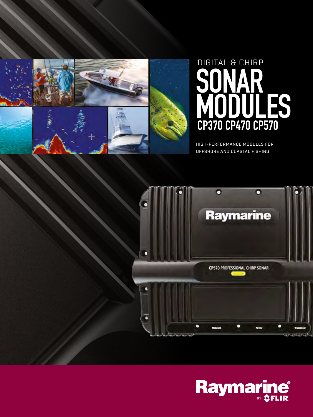



HIGH-PERFORMANCE MODULES FOR OFFSHORE AND COASTAL FISHING



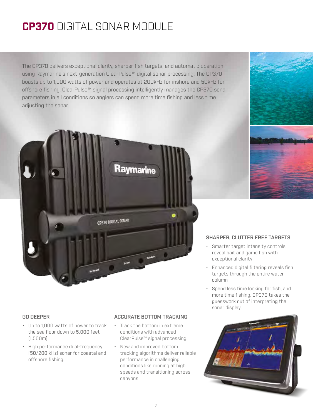## **CP370** DIGITAL SONAR MODULE

The CP370 delivers exceptional clarity, sharper fish targets, and automatic operation using Raymarine's next-generation ClearPulse™ digital sonar processing. The CP370 boasts up to 1,000 watts of power and operates at 200kHz for inshore and 50kHz for offshore fishing. ClearPulse™ signal processing intelligently manages the CP370 sonar parameters in all conditions so anglers can spend more time fishing and less time adjusting the sonar.



### GO DEEPER

- Up to 1,000 watts of power to track the sea floor down to 5,000 feet (1,500m).
- High performance dual-frequency (50/200 kHz) sonar for coastal and offshore fishing.

### ACCURATE BOTTOM TRACKING

- Track the bottom in extreme conditions with advanced ClearPulse™ signal processing.
- New and improved bottom tracking algorithms deliver reliable performance in challenging conditions like running at high speeds and transitioning across canyons.

### SHARPER, CLUTTER FREE TARGETS

- Smarter target intensity controls reveal bait and game fish with exceptional clarity
- Enhanced digital filtering reveals fish targets through the entire water column
- Spend less time looking for fish, and more time fishing. CP370 takes the guesswork out of interpreting the sonar display.

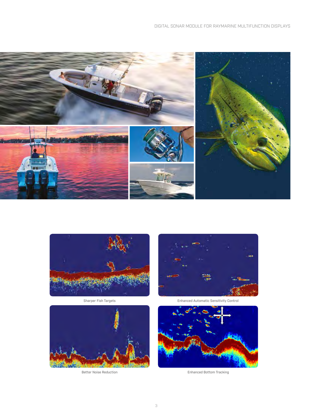



Sharper Fish Targets



Better Noise Reduction



Enhanced Automatic Sensitivity Control



Enhanced Bottom Tracking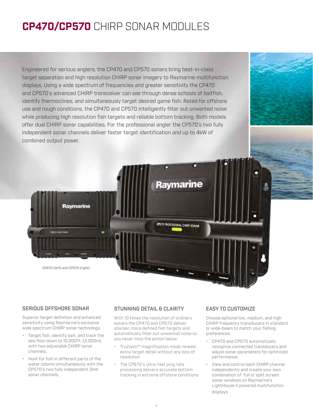## **CP470/CP570** CHIRP SONAR MODULES

Engineered for serious anglers, the CP470 and CP570 sonars bring best-in-class target separation and high resolution CHIRP sonar imagery to Raymarine multifunction displays. Using a wide spectrum of frequencies and greater sensitivity the CP470 and CP570's advanced CHIRP transceiver can see through dense schools of baitfish, identify thermoclines, and simultaneously target desired game fish. Rated for offshore use and rough conditions, the CP470 and CP570 intelligently filter out unwanted noise while producing high resolution fish targets and reliable bottom tracking. Both models offer dual CHIRP sonar capabilities. For the professional angler the CP570's two fully independent sonar channels deliver faster target identification and up to 4kW of combined output power.



### SERIOUS OFFSHORE SONAR

Superior target definition and enhanced sensitivity using Raymarine's exclusive wide spectrum CHIRP sonar technology.

- Target fish, identify bait, and track the sea floor down to 10,000ft. (3,000m) with two adjustable CHIRP sonar channels.
- Hunt for fish in different parts of the water column simultaneously with the CP570's two fully independent 2kW sonar channels.

### STUNNING DETAIL & CLARITY

With 10 times the resolution of ordinary sonars the CP470 and CP570 deliver sharper, more defined fish targets and automatically filter out unwanted noise so you never miss the action below.

- TruZoom™ magnification mode reveals extra target detail without any loss of resolution
- The CP570's ultra-fast ping rate processing delivers accurate bottom tracking in extreme offshore conditions

### EASY TO CUSTOMIZE

Choose optional low, medium, and high CHIRP frequency transducers in standard or wide-beam to match your fishing preferences.

- CP470 and CP570 automatically recognize connected transducers and adjust sonar parameters for optimized performance
- View and control each CHIRP channel independently and create your own combination of full or split screen sonar windows on Raymarine's LightHouse II powered multifunction displays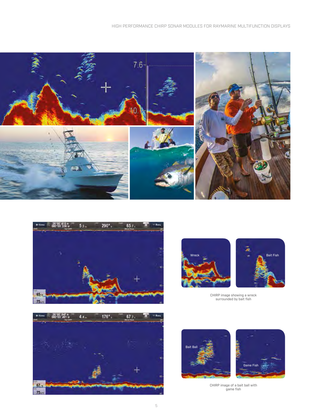







CHIRP image showing a wreck surrounded by bait fish







CHIRP image of a bait ball with game fish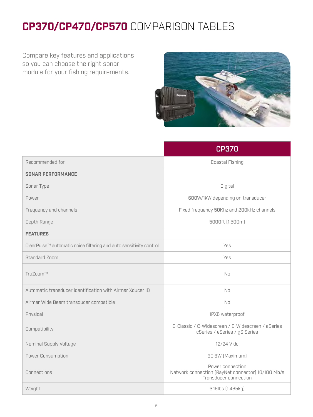# **CP370/CP470/CP570** COMPARISON TABLES

Compare key features and applications so you can choose the right sonar module for your fishing requirements.



|                                                                    | <b>CP370</b>                                                                                   |
|--------------------------------------------------------------------|------------------------------------------------------------------------------------------------|
| Recommended for                                                    | Coastal Fishing                                                                                |
| <b>SONAR PERFORMANCE</b>                                           |                                                                                                |
| Sonar Type                                                         | Digital                                                                                        |
| Power                                                              | 600W/1kW depending on transducer                                                               |
| Frequency and channels                                             | Fixed frequency 50Khz and 200kHz channels                                                      |
| Depth Range                                                        | 5000ft (1,500m)                                                                                |
| <b>FEATURES</b>                                                    |                                                                                                |
| ClearPulse™ automatic noise filtering and auto sensitivity control | Yes                                                                                            |
| <b>Standard Zoom</b>                                               | Yes                                                                                            |
| TruZoom™                                                           | N <sub>0</sub>                                                                                 |
| Automatic transducer identification with Airmar Xducer ID          | No                                                                                             |
| Airmar Wide Beam transducer compatible                             | No                                                                                             |
| Physical                                                           | IPX6 waterproof                                                                                |
| Compatibility                                                      | E-Classic / C-Widescreen / E-Widescreen / aSeries<br>cSeries / eSeries / gS Series             |
| Nominal Supply Voltage                                             | 12/24 V dc                                                                                     |
| Power Consumption                                                  | 30.6W (Maximum)                                                                                |
| Connections                                                        | Power connection<br>Network connection (RayNet connector) 10/100 Mb/s<br>Transducer connection |
| Weight                                                             | 3.16lbs (1.435kg)                                                                              |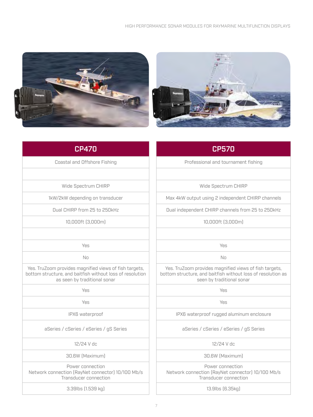



### CP470

Coastal and Offshore Fishing

Wide Spectrum CHIRP

1kW/2kW depending on transducer

Dual CHIRP from 25 to 250kHz

10,000ft (3,000m)

Yes

No

Yes. TruZoom provides magnified views of fish targets, bottom structure, and baitfish without loss of resolution as seen by traditional sonar

Yes

Yes

IPX6 waterproof

aSeries / cSeries / eSeries / gS Series

12/24 V dc

30.6W (Maximum)

Power connection Network connection (RayNet connector) 10/100 Mb/s Transducer connection

3.39lbs (1.539 kg)

## CP570

Professional and tournament fishing

Wide Spectrum CHIRP

Max 4kW output using 2 independent CHIRP channels

Dual independent CHIRP channels from 25 to 250kHz

### 10,000ft (3,000m)

Yes

No

Yes. TruZoom provides magnified views of fish targets, bottom structure, and baitfish without loss of resolution as seen by traditional sonar

Yes

Yes

IPX6 waterproof rugged aluminum enclosure

aSeries / cSeries / eSeries / gS Series

12/24 V dc

30.6W (Maximum)

Power connection Network connection (RayNet connector) 10/100 Mb/s Transducer connection

13.9lbs (6.35kg)